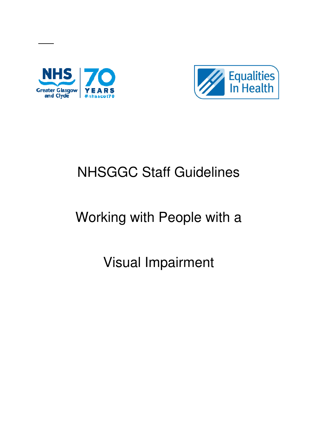

ı



# NHSGGC Staff Guidelines

# Working with People with a

# Visual Impairment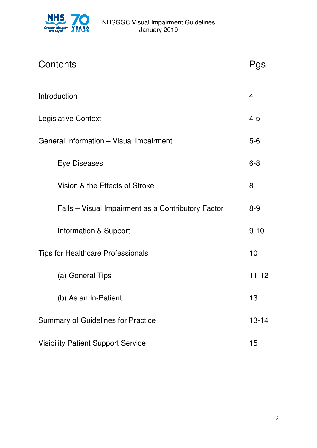

| Contents                                           | Pas       |
|----------------------------------------------------|-----------|
| Introduction                                       | 4         |
| <b>Legislative Context</b>                         | $4 - 5$   |
| General Information - Visual Impairment            | $5-6$     |
| <b>Eye Diseases</b>                                | $6 - 8$   |
| Vision & the Effects of Stroke                     | 8         |
| Falls – Visual Impairment as a Contributory Factor | $8 - 9$   |
| Information & Support                              | $9 - 10$  |
| <b>Tips for Healthcare Professionals</b>           | 10        |
| (a) General Tips                                   | $11 - 12$ |
| (b) As an In-Patient                               | 13        |
| <b>Summary of Guidelines for Practice</b>          | $13 - 14$ |
| <b>Visibility Patient Support Service</b>          | 15        |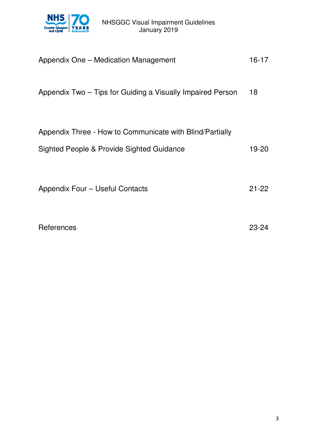

#### NHSGGC Visual Impairment Guidelines January 2019

| Appendix One – Medication Management                       | 16-17     |
|------------------------------------------------------------|-----------|
| Appendix Two – Tips for Guiding a Visually Impaired Person | 18        |
| Appendix Three - How to Communicate with Blind/Partially   |           |
| Sighted People & Provide Sighted Guidance                  | 19-20     |
|                                                            |           |
| Appendix Four – Useful Contacts                            | $21 - 22$ |
| References                                                 | 23-24     |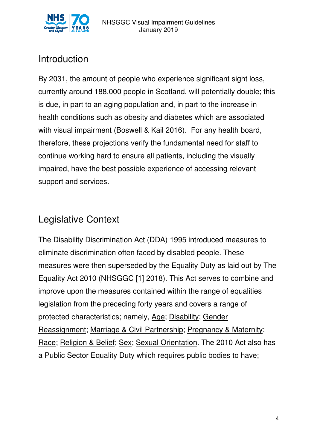

# Introduction

By 2031, the amount of people who experience significant sight loss, currently around 188,000 people in Scotland, will potentially double; this is due, in part to an aging population and, in part to the increase in health conditions such as obesity and diabetes which are associated with visual impairment (Boswell & Kail 2016). For any health board, therefore, these projections verify the fundamental need for staff to continue working hard to ensure all patients, including the visually impaired, have the best possible experience of accessing relevant support and services.

# Legislative Context

The Disability Discrimination Act (DDA) 1995 introduced measures to eliminate discrimination often faced by disabled people. These measures were then superseded by the Equality Duty as laid out by The Equality Act 2010 (NHSGGC [1] 2018). This Act serves to combine and improve upon the measures contained within the range of equalities legislation from the preceding forty years and covers a range of protected characteristics; namely, Age; Disability; Gender Reassignment; Marriage & Civil Partnership; Pregnancy & Maternity; Race; Religion & Belief; Sex; Sexual Orientation. The 2010 Act also has a Public Sector Equality Duty which requires public bodies to have;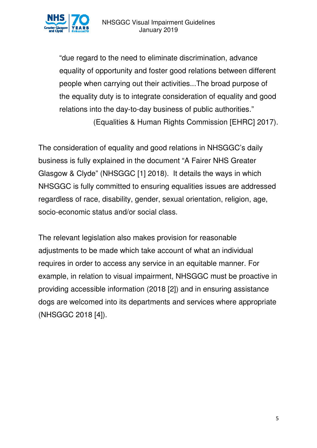

"due regard to the need to eliminate discrimination, advance equality of opportunity and foster good relations between different people when carrying out their activities...The broad purpose of the equality duty is to integrate consideration of equality and good relations into the day-to-day business of public authorities." (Equalities & Human Rights Commission [EHRC] 2017).

The consideration of equality and good relations in NHSGGC's daily business is fully explained in the document "A Fairer NHS Greater Glasgow & Clyde" (NHSGGC [1] 2018). It details the ways in which NHSGGC is fully committed to ensuring equalities issues are addressed regardless of race, disability, gender, sexual orientation, religion, age, socio-economic status and/or social class.

The relevant legislation also makes provision for reasonable adjustments to be made which take account of what an individual requires in order to access any service in an equitable manner. For example, in relation to visual impairment, NHSGGC must be proactive in providing accessible information (2018 [2]) and in ensuring assistance dogs are welcomed into its departments and services where appropriate (NHSGGC 2018 [4]).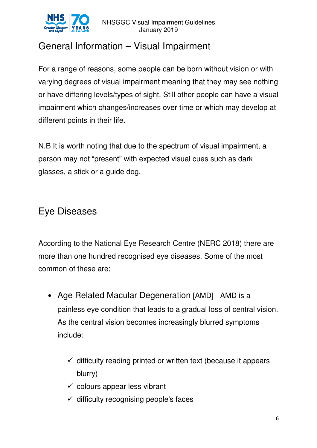

# General Information – Visual Impairment

For a range of reasons, some people can be born without vision or with varying degrees of visual impairment meaning that they may see nothing or have differing levels/types of sight. Still other people can have a visual impairment which changes/increases over time or which may develop at different points in their life.

N.B It is worth noting that due to the spectrum of visual impairment, a person may not "present" with expected visual cues such as dark glasses, a stick or a guide dog.

## Eye Diseases

According to the National Eye Research Centre (NERC 2018) there are more than one hundred recognised eye diseases. Some of the most common of these are;

- Age Related Macular Degeneration [AMD] AMD is a painless eye condition that leads to a gradual loss of central vision. As the central vision becomes increasingly blurred symptoms include:
	- $\checkmark$  difficulty reading printed or written text (because it appears blurry)
	- $\checkmark$  colours appear less vibrant
	- $\checkmark$  difficulty recognising people's faces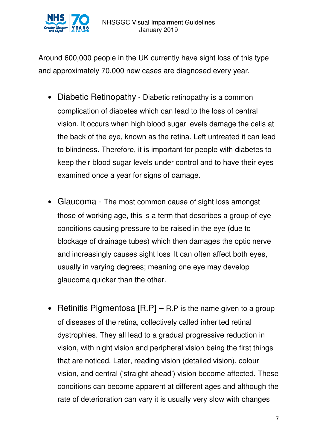

Around 600,000 people in the UK currently have sight loss of this type and approximately 70,000 new cases are diagnosed every year.

- Diabetic Retinopathy Diabetic retinopathy is a common complication of diabetes which can lead to the loss of central vision. It occurs when high blood sugar levels damage the cells at the back of the eye, known as the retina. Left untreated it can lead to blindness. Therefore, it is important for people with diabetes to keep their blood sugar levels under control and to have their eyes examined once a year for signs of damage.
- Glaucoma The most common cause of sight loss amongst those of working age, this is a term that describes a group of eye conditions causing pressure to be raised in the eye (due to blockage of drainage tubes) which then damages the optic nerve and increasingly causes sight loss. It can often affect both eyes, usually in varying degrees; meaning one eye may develop glaucoma quicker than the other.
- Retinitis Pigmentosa  $[**R**.**P**]$  R.P is the name given to a group of diseases of the retina, collectively called inherited retinal dystrophies. They all lead to a gradual progressive reduction in vision, with night vision and peripheral vision being the first things that are noticed. Later, reading vision (detailed vision), colour vision, and central ('straight-ahead') vision become affected. These conditions can become apparent at different ages and although the rate of deterioration can vary it is usually very slow with changes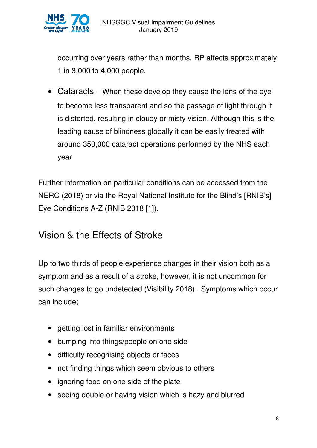

 occurring over years rather than months. RP affects approximately 1 in 3,000 to 4,000 people.

• Cataracts – When these develop they cause the lens of the eye to become less transparent and so the passage of light through it is distorted, resulting in cloudy or misty vision. Although this is the leading cause of blindness globally it can be easily treated with around 350,000 cataract operations performed by the NHS each year.

Further information on particular conditions can be accessed from the NERC (2018) or via the Royal National Institute for the Blind's [RNIB's] Eye Conditions A-Z (RNIB 2018 [1]).

#### Vision & the Effects of Stroke

Up to two thirds of people experience changes in their vision both as a symptom and as a result of a stroke, however, it is not uncommon for such changes to go undetected (Visibility 2018) . Symptoms which occur can include;

- getting lost in familiar environments
- bumping into things/people on one side
- difficulty recognising objects or faces
- not finding things which seem obvious to others
- ignoring food on one side of the plate
- seeing double or having vision which is hazy and blurred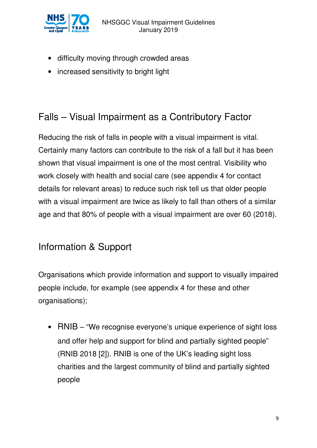

- difficulty moving through crowded areas
- increased sensitivity to bright light

# Falls – Visual Impairment as a Contributory Factor

Reducing the risk of falls in people with a visual impairment is vital. Certainly many factors can contribute to the risk of a fall but it has been shown that visual impairment is one of the most central. Visibility who work closely with health and social care (see appendix 4 for contact details for relevant areas) to reduce such risk tell us that older people with a visual impairment are twice as likely to fall than others of a similar age and that 80% of people with a visual impairment are over 60 (2018).

#### Information & Support

Organisations which provide information and support to visually impaired people include, for example (see appendix 4 for these and other organisations);

• RNIB – "We recognise everyone's unique experience of sight loss and offer help and support for blind and partially sighted people" (RNIB 2018 [2]). RNIB is one of the UK's leading sight loss charities and the largest community of blind and partially sighted people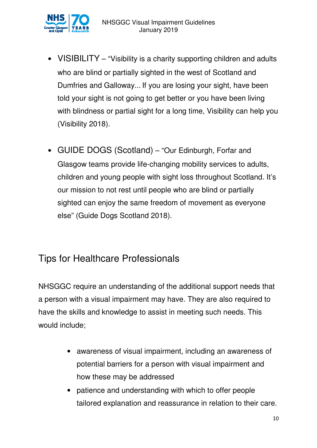

- VISIBILITY "Visibility is a charity supporting children and adults who are blind or partially sighted in the west of Scotland and Dumfries and Galloway... If you are losing your sight, have been told your sight is not going to get better or you have been living with blindness or partial sight for a long time, Visibility can help you (Visibility 2018).
- GUIDE DOGS (Scotland) "Our Edinburgh, Forfar and Glasgow teams provide life-changing mobility services to adults, children and young people with sight loss throughout Scotland. It's our mission to not rest until people who are blind or partially sighted can enjoy the same freedom of movement as everyone else" (Guide Dogs Scotland 2018).

### Tips for Healthcare Professionals

NHSGGC require an understanding of the additional support needs that a person with a visual impairment may have. They are also required to have the skills and knowledge to assist in meeting such needs. This would include;

- awareness of visual impairment, including an awareness of potential barriers for a person with visual impairment and how these may be addressed
- patience and understanding with which to offer people tailored explanation and reassurance in relation to their care.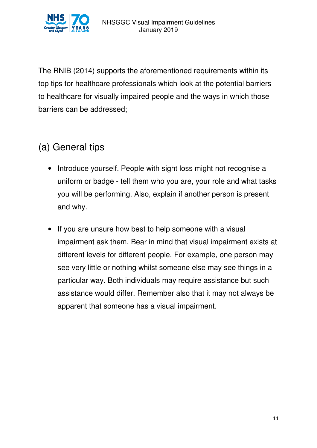

The RNIB (2014) supports the aforementioned requirements within its top tips for healthcare professionals which look at the potential barriers to healthcare for visually impaired people and the ways in which those barriers can be addressed;

# (a) General tips

- Introduce yourself. People with sight loss might not recognise a uniform or badge - tell them who you are, your role and what tasks you will be performing. Also, explain if another person is present and why.
- If you are unsure how best to help someone with a visual impairment ask them. Bear in mind that visual impairment exists at different levels for different people. For example, one person may see very little or nothing whilst someone else may see things in a particular way. Both individuals may require assistance but such assistance would differ. Remember also that it may not always be apparent that someone has a visual impairment.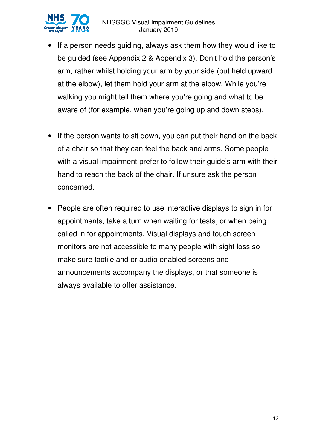

- If a person needs guiding, always ask them how they would like to be guided (see Appendix 2 & Appendix 3). Don't hold the person's arm, rather whilst holding your arm by your side (but held upward at the elbow), let them hold your arm at the elbow. While you're walking you might tell them where you're going and what to be aware of (for example, when you're going up and down steps).
- If the person wants to sit down, you can put their hand on the back of a chair so that they can feel the back and arms. Some people with a visual impairment prefer to follow their guide's arm with their hand to reach the back of the chair. If unsure ask the person concerned.
- People are often required to use interactive displays to sign in for appointments, take a turn when waiting for tests, or when being called in for appointments. Visual displays and touch screen monitors are not accessible to many people with sight loss so make sure tactile and or audio enabled screens and announcements accompany the displays, or that someone is always available to offer assistance.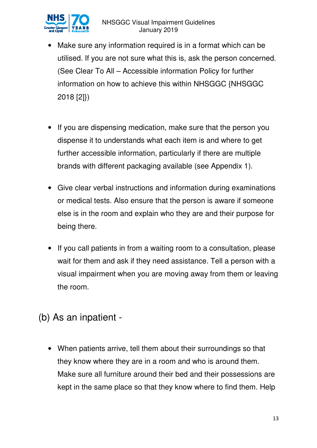

- Make sure any information required is in a format which can be utilised. If you are not sure what this is, ask the person concerned. (See Clear To All – Accessible information Policy for further information on how to achieve this within NHSGGC {NHSGGC 2018 [2]})
- If you are dispensing medication, make sure that the person you dispense it to understands what each item is and where to get further accessible information, particularly if there are multiple brands with different packaging available (see Appendix 1).
- Give clear verbal instructions and information during examinations or medical tests. Also ensure that the person is aware if someone else is in the room and explain who they are and their purpose for being there.
- If you call patients in from a waiting room to a consultation, please wait for them and ask if they need assistance. Tell a person with a visual impairment when you are moving away from them or leaving the room.

## (b) As an inpatient -

• When patients arrive, tell them about their surroundings so that they know where they are in a room and who is around them. Make sure all furniture around their bed and their possessions are kept in the same place so that they know where to find them. Help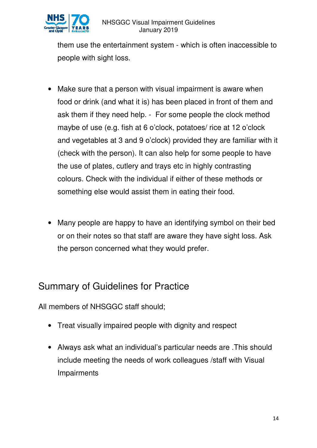

them use the entertainment system - which is often inaccessible to people with sight loss.

- Make sure that a person with visual impairment is aware when food or drink (and what it is) has been placed in front of them and ask them if they need help. - For some people the clock method maybe of use (e.g. fish at 6 o'clock, potatoes/ rice at 12 o'clock and vegetables at 3 and 9 o'clock) provided they are familiar with it (check with the person). It can also help for some people to have the use of plates, cutlery and trays etc in highly contrasting colours. Check with the individual if either of these methods or something else would assist them in eating their food.
- Many people are happy to have an identifying symbol on their bed or on their notes so that staff are aware they have sight loss. Ask the person concerned what they would prefer.

## Summary of Guidelines for Practice

All members of NHSGGC staff should;

- Treat visually impaired people with dignity and respect
- Always ask what an individual's particular needs are .This should include meeting the needs of work colleagues /staff with Visual **Impairments**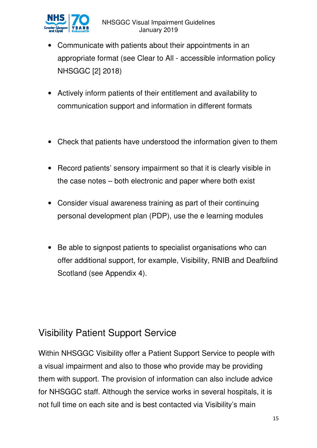

- Communicate with patients about their appointments in an appropriate format (see Clear to All - accessible information policy NHSGGC [2] 2018)
- Actively inform patients of their entitlement and availability to communication support and information in different formats
- Check that patients have understood the information given to them
- Record patients' sensory impairment so that it is clearly visible in the case notes – both electronic and paper where both exist
- Consider visual awareness training as part of their continuing personal development plan (PDP), use the e learning modules
- Be able to signpost patients to specialist organisations who can offer additional support, for example, Visibility, RNIB and Deafblind Scotland (see Appendix 4).

## Visibility Patient Support Service

Within NHSGGC Visibility offer a Patient Support Service to people with a visual impairment and also to those who provide may be providing them with support. The provision of information can also include advice for NHSGGC staff. Although the service works in several hospitals, it is not full time on each site and is best contacted via Visibility's main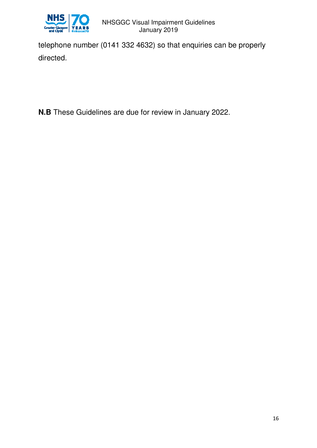

telephone number (0141 332 4632) so that enquiries can be properly directed.

**N.B** These Guidelines are due for review in January 2022.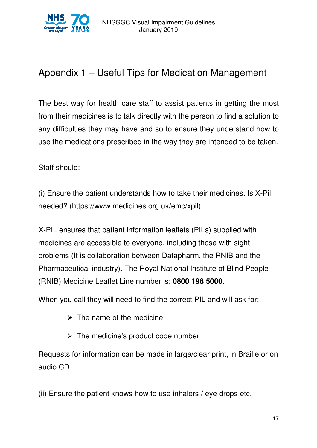

# Appendix 1 – Useful Tips for Medication Management

The best way for health care staff to assist patients in getting the most from their medicines is to talk directly with the person to find a solution to any difficulties they may have and so to ensure they understand how to use the medications prescribed in the way they are intended to be taken.

Staff should:

(i) Ensure the patient understands how to take their medicines. Is X-Pil needed? (https://www.medicines.org.uk/emc/xpil);

X-PIL ensures that patient information leaflets (PILs) supplied with medicines are accessible to everyone, including those with sight problems (It is collaboration between Datapharm, the RNIB and the Pharmaceutical industry). The Royal National Institute of Blind People (RNIB) Medicine Leaflet Line number is: **0800 198 5000**.

When you call they will need to find the correct PIL and will ask for:

- $\triangleright$  The name of the medicine
- $\triangleright$  The medicine's product code number

Requests for information can be made in large/clear print, in Braille or on audio CD

(ii) Ensure the patient knows how to use inhalers / eye drops etc.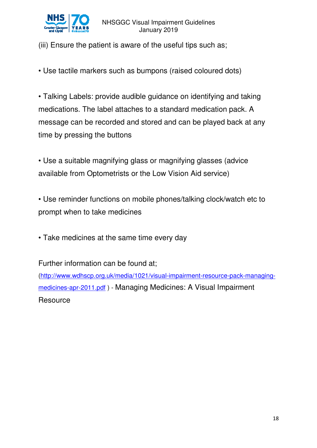

(iii) Ensure the patient is aware of the useful tips such as;

• Use tactile markers such as bumpons (raised coloured dots)

• Talking Labels: provide audible guidance on identifying and taking medications. The label attaches to a standard medication pack. A message can be recorded and stored and can be played back at any time by pressing the buttons

• Use a suitable magnifying glass or magnifying glasses (advice available from Optometrists or the Low Vision Aid service)

• Use reminder functions on mobile phones/talking clock/watch etc to prompt when to take medicines

• Take medicines at the same time every day

Further information can be found at;

(http://www.wdhscp.org.uk/media/1021/visual-impairment-resource-pack-managingmedicines-apr-2011.pdf ) - Managing Medicines: A Visual Impairment **Resource**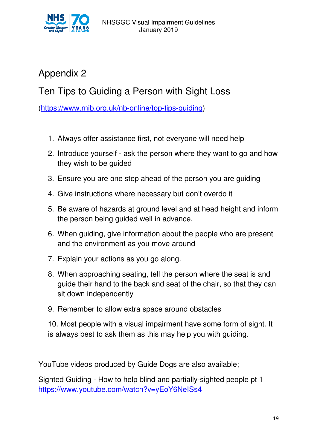

# Appendix 2

# Ten Tips to Guiding a Person with Sight Loss

(https://www.rnib.org.uk/nb-online/top-tips-guiding)

- 1. Always offer assistance first, not everyone will need help
- 2. Introduce yourself ask the person where they want to go and how they wish to be guided
- 3. Ensure you are one step ahead of the person you are guiding
- 4. Give instructions where necessary but don't overdo it
- 5. Be aware of hazards at ground level and at head height and inform the person being guided well in advance.
- 6. When guiding, give information about the people who are present and the environment as you move around
- 7. Explain your actions as you go along.
- 8. When approaching seating, tell the person where the seat is and guide their hand to the back and seat of the chair, so that they can sit down independently
- 9. Remember to allow extra space around obstacles

10. Most people with a visual impairment have some form of sight. It is always best to ask them as this may help you with guiding.

YouTube videos produced by Guide Dogs are also available;

Sighted Guiding - How to help blind and partially-sighted people pt 1 https://www.youtube.com/watch?v=yEoY6NeISs4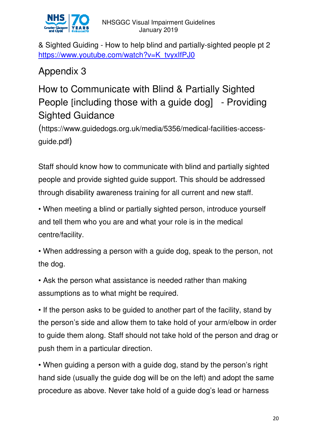

& Sighted Guiding - How to help blind and partially-sighted people pt 2 https://www.youtube.com/watch?v=K\_tvyxIfPJ0

# Appendix 3

# How to Communicate with Blind & Partially Sighted People [including those with a guide dog] - Providing Sighted Guidance

(https://www.guidedogs.org.uk/media/5356/medical-facilities-accessguide.pdf)

Staff should know how to communicate with blind and partially sighted people and provide sighted guide support. This should be addressed through disability awareness training for all current and new staff.

• When meeting a blind or partially sighted person, introduce yourself and tell them who you are and what your role is in the medical centre/facility.

• When addressing a person with a guide dog, speak to the person, not the dog.

• Ask the person what assistance is needed rather than making assumptions as to what might be required.

• If the person asks to be guided to another part of the facility, stand by the person's side and allow them to take hold of your arm/elbow in order to guide them along. Staff should not take hold of the person and drag or push them in a particular direction.

• When guiding a person with a guide dog, stand by the person's right hand side (usually the guide dog will be on the left) and adopt the same procedure as above. Never take hold of a guide dog's lead or harness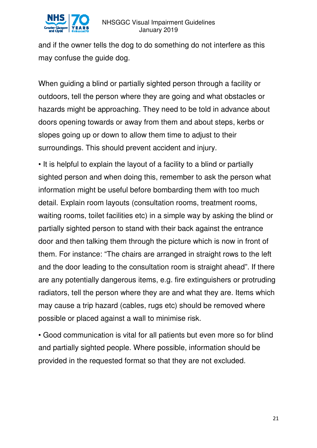

and if the owner tells the dog to do something do not interfere as this may confuse the guide dog.

When guiding a blind or partially sighted person through a facility or outdoors, tell the person where they are going and what obstacles or hazards might be approaching. They need to be told in advance about doors opening towards or away from them and about steps, kerbs or slopes going up or down to allow them time to adjust to their surroundings. This should prevent accident and injury.

• It is helpful to explain the layout of a facility to a blind or partially sighted person and when doing this, remember to ask the person what information might be useful before bombarding them with too much detail. Explain room layouts (consultation rooms, treatment rooms, waiting rooms, toilet facilities etc) in a simple way by asking the blind or partially sighted person to stand with their back against the entrance door and then talking them through the picture which is now in front of them. For instance: "The chairs are arranged in straight rows to the left and the door leading to the consultation room is straight ahead". If there are any potentially dangerous items, e.g. fire extinguishers or protruding radiators, tell the person where they are and what they are. Items which may cause a trip hazard (cables, rugs etc) should be removed where possible or placed against a wall to minimise risk.

• Good communication is vital for all patients but even more so for blind and partially sighted people. Where possible, information should be provided in the requested format so that they are not excluded.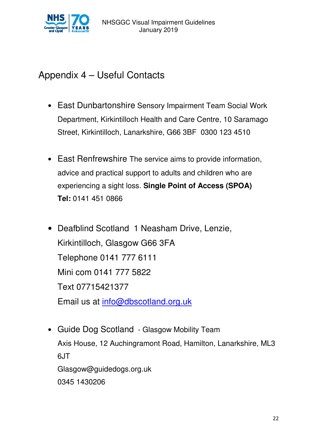

#### Appendix 4 – Useful Contacts

- East Dunbartonshire Sensory Impairment Team Social Work Department, Kirkintilloch Health and Care Centre, 10 Saramago Street, Kirkintilloch, Lanarkshire, G66 3BF 0300 123 4510
- East Renfrewshire The service aims to provide information, advice and practical support to adults and children who are experiencing a sight loss. **Single Point of Access (SPOA) Tel:** 0141 451 0866
- Deafblind Scotland 1 Neasham Drive, Lenzie, Kirkintilloch, Glasgow G66 3FA Telephone 0141 777 6111 Mini com 0141 777 5822 Text 07715421377 Email us at info@dbscotland.org.uk
- Guide Dog Scotland Glasgow Mobility Team Axis House, 12 Auchingramont Road, Hamilton, Lanarkshire, ML3 6JT Glasgow@guidedogs.org.uk 0345 1430206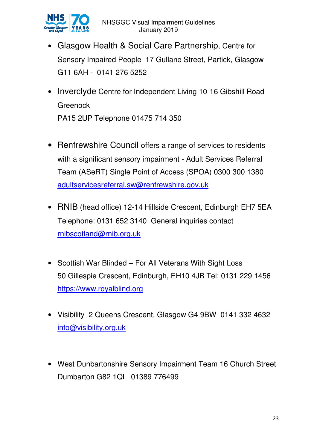

- Glasgow Health & Social Care Partnership, Centre for Sensory Impaired People 17 Gullane Street, Partick, Glasgow G11 6AH - 0141 276 5252
- Inverclyde Centre for Independent Living 10-16 Gibshill Road **Greenock** PA15 2UP Telephone 01475 714 350
- Renfrewshire Council offers a range of services to residents with a significant sensory impairment - Adult Services Referral Team (ASeRT) Single Point of Access (SPOA) 0300 300 1380 adultservicesreferral.sw@renfrewshire.gov.uk
- RNIB (head office) 12-14 Hillside Crescent, Edinburgh EH7 5EA Telephone: 0131 652 3140 General inquiries contact rnibscotland@rnib.org.uk
- Scottish War Blinded For All Veterans With Sight Loss 50 Gillespie Crescent, Edinburgh, EH10 4JB Tel: 0131 229 1456 https://www.royalblind.org
- Visibility 2 Queens Crescent, Glasgow G4 9BW 0141 332 4632 info@visibility.org.uk
- West Dunbartonshire Sensory Impairment Team 16 Church Street Dumbarton G82 1QL 01389 776499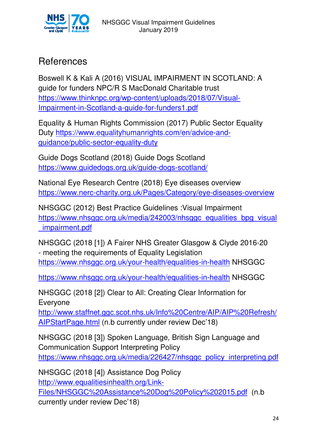

#### References

Boswell K & Kali A (2016) VISUAL IMPAIRMENT IN SCOTLAND: A guide for funders NPC/R S MacDonald Charitable trust https://www.thinknpc.org/wp-content/uploads/2018/07/Visual-Impairment-in-Scotland-a-guide-for-funders1.pdf

Equality & Human Rights Commission (2017) Public Sector Equality Duty https://www.equalityhumanrights.com/en/advice-andguidance/public-sector-equality-duty

Guide Dogs Scotland (2018) Guide Dogs Scotland https://www.guidedogs.org.uk/guide-dogs-scotland/

National Eye Research Centre (2018) Eye diseases overview https://www.nerc-charity.org.uk/Pages/Category/eye-diseases-overview

NHSGGC (2012) Best Practice Guidelines :Visual Impairment https://www.nhsggc.org.uk/media/242003/nhsggc\_equalities\_bpg\_visual \_impairment.pdf

NHSGGC (2018 [1]) A Fairer NHS Greater Glasgow & Clyde 2016-20 - meeting the requirements of Equality Legislation https://www.nhsggc.org.uk/your-health/equalities-in-health NHSGGC

https://www.nhsggc.org.uk/your-health/equalities-in-health NHSGGC

NHSGGC (2018 [2]) Clear to All: Creating Clear Information for Everyone

http://www.staffnet.ggc.scot.nhs.uk/Info%20Centre/AIP/AIP%20Refresh/ AIPStartPage.html (n.b currently under review Dec'18)

NHSGGC (2018 [3]) Spoken Language, British Sign Language and Communication Support Interpreting Policy https://www.nhsggc.org.uk/media/226427/nhsggc\_policy\_interpreting.pdf

NHSGGC (2018 [4]) Assistance Dog Policy http://www.equalitiesinhealth.org/Link-Files/NHSGGC%20Assistance%20Dog%20Policy%202015.pdf (n.b currently under review Dec'18)